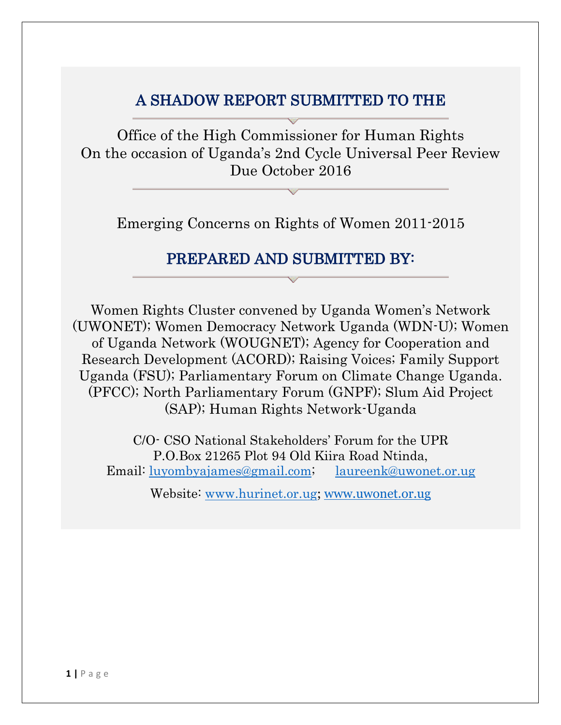# A SHADOW REPORT SUBMITTED TO THE

Office of the High Commissioner for Human Rights On the occasion of Uganda's 2nd Cycle Universal Peer Review Due October 2016

Emerging Concerns on Rights of Women 2011-2015

# PREPARED AND SUBMITTED BY:

Women Rights Cluster convened by Uganda Women's Network (UWONET); Women Democracy Network Uganda (WDN-U); Women of Uganda Network (WOUGNET); Agency for Cooperation and Research Development (ACORD); Raising Voices; Family Support Uganda (FSU); Parliamentary Forum on Climate Change Uganda. (PFCC); North Parliamentary Forum (GNPF); Slum Aid Project (SAP); Human Rights Network-Uganda

C/O- CSO National Stakeholders' Forum for the UPR P.O.Box 21265 Plot 94 Old Kiira Road Ntinda, Email: [luyombyajames@gmail.com;](mailto:luyombyajames@gmail.com) [laureenk@uwonet.or.ug](mailto:laureenk@uwonet.or.ug)

Website: [www.hurinet.or.ug](http://www.hurinet.or.ug/); [www.uwonet.or.ug](http://www.uwonet.or.ug/)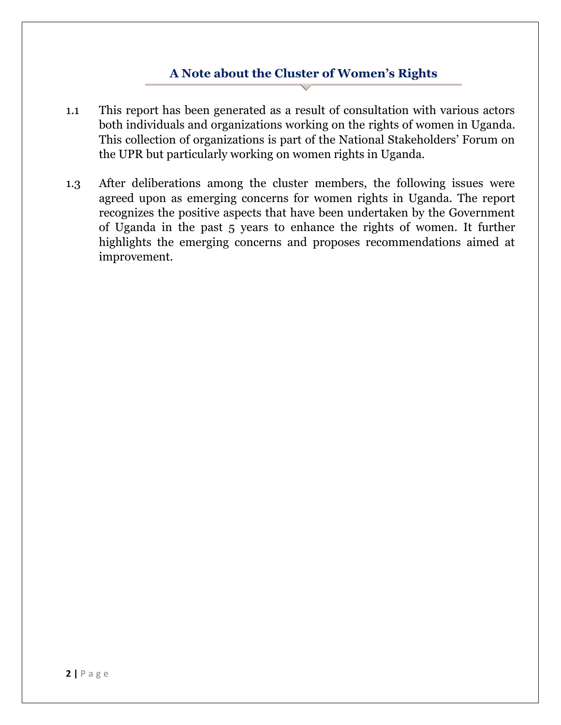#### **A Note about the Cluster of Women's Rights**

- 1.1 This report has been generated as a result of consultation with various actors both individuals and organizations working on the rights of women in Uganda. This collection of organizations is part of the National Stakeholders' Forum on the UPR but particularly working on women rights in Uganda.
- 1.3 After deliberations among the cluster members, the following issues were agreed upon as emerging concerns for women rights in Uganda. The report recognizes the positive aspects that have been undertaken by the Government of Uganda in the past 5 years to enhance the rights of women. It further highlights the emerging concerns and proposes recommendations aimed at improvement.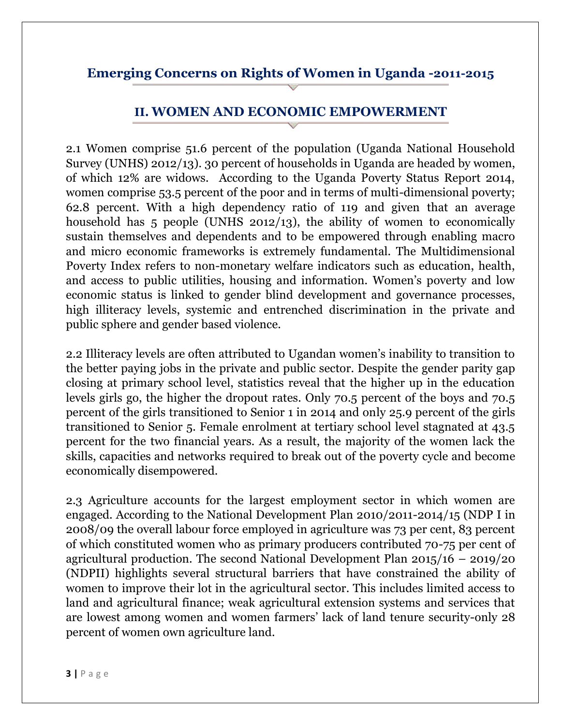### **Emerging Concerns on Rights of Women in Uganda -2011-2015**

#### **II. WOMEN AND ECONOMIC EMPOWERMENT**

2.1 Women comprise 51.6 percent of the population (Uganda National Household Survey (UNHS) 2012/13). 30 percent of households in Uganda are headed by women, of which 12% are widows. According to the Uganda Poverty Status Report 2014, women comprise 53.5 percent of the poor and in terms of multi-dimensional poverty; 62.8 percent. With a high dependency ratio of 119 and given that an average household has 5 people (UNHS 2012/13), the ability of women to economically sustain themselves and dependents and to be empowered through enabling macro and micro economic frameworks is extremely fundamental. The Multidimensional Poverty Index refers to non-monetary welfare indicators such as education, health, and access to public utilities, housing and information. Women's poverty and low economic status is linked to gender blind development and governance processes, high illiteracy levels, systemic and entrenched discrimination in the private and public sphere and gender based violence.

2.2 Illiteracy levels are often attributed to Ugandan women's inability to transition to the better paying jobs in the private and public sector. Despite the gender parity gap closing at primary school level, statistics reveal that the higher up in the education levels girls go, the higher the dropout rates. Only 70.5 percent of the boys and 70.5 percent of the girls transitioned to Senior 1 in 2014 and only 25.9 percent of the girls transitioned to Senior 5. Female enrolment at tertiary school level stagnated at 43.5 percent for the two financial years. As a result, the majority of the women lack the skills, capacities and networks required to break out of the poverty cycle and become economically disempowered.

2.3 Agriculture accounts for the largest employment sector in which women are engaged. According to the National Development Plan 2010/2011-2014/15 (NDP I in 2008/09 the overall labour force employed in agriculture was 73 per cent, 83 percent of which constituted women who as primary producers contributed 70-75 per cent of agricultural production. The second National Development Plan 2015/16 – 2019/20 (NDPII) highlights several structural barriers that have constrained the ability of women to improve their lot in the agricultural sector. This includes limited access to land and agricultural finance; weak agricultural extension systems and services that are lowest among women and women farmers' lack of land tenure security-only 28 percent of women own agriculture land.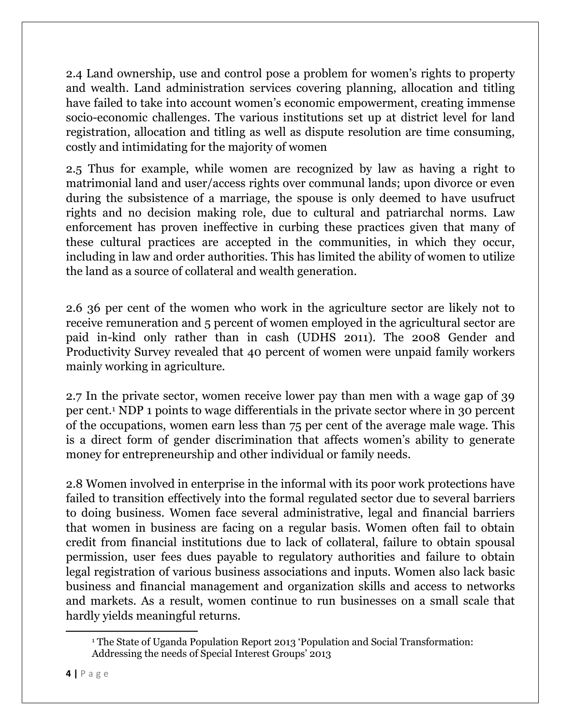2.4 Land ownership, use and control pose a problem for women's rights to property and wealth. Land administration services covering planning, allocation and titling have failed to take into account women's economic empowerment, creating immense socio-economic challenges. The various institutions set up at district level for land registration, allocation and titling as well as dispute resolution are time consuming, costly and intimidating for the majority of women

2.5 Thus for example, while women are recognized by law as having a right to matrimonial land and user/access rights over communal lands; upon divorce or even during the subsistence of a marriage, the spouse is only deemed to have usufruct rights and no decision making role, due to cultural and patriarchal norms. Law enforcement has proven ineffective in curbing these practices given that many of these cultural practices are accepted in the communities, in which they occur, including in law and order authorities. This has limited the ability of women to utilize the land as a source of collateral and wealth generation.

2.6 36 per cent of the women who work in the agriculture sector are likely not to receive remuneration and 5 percent of women employed in the agricultural sector are paid in-kind only rather than in cash (UDHS 2011). The 2008 Gender and Productivity Survey revealed that 40 percent of women were unpaid family workers mainly working in agriculture.

2.7 In the private sector, women receive lower pay than men with a wage gap of 39 per cent.<sup>1</sup> NDP 1 points to wage differentials in the private sector where in 30 percent of the occupations, women earn less than 75 per cent of the average male wage. This is a direct form of gender discrimination that affects women's ability to generate money for entrepreneurship and other individual or family needs.

2.8 Women involved in enterprise in the informal with its poor work protections have failed to transition effectively into the formal regulated sector due to several barriers to doing business. Women face several administrative, legal and financial barriers that women in business are facing on a regular basis. Women often fail to obtain credit from financial institutions due to lack of collateral, failure to obtain spousal permission, user fees dues payable to regulatory authorities and failure to obtain legal registration of various business associations and inputs. Women also lack basic business and financial management and organization skills and access to networks and markets. As a result, women continue to run businesses on a small scale that hardly yields meaningful returns.

 $\overline{\phantom{a}}$ 

<sup>1</sup> The State of Uganda Population Report 2013 'Population and Social Transformation: Addressing the needs of Special Interest Groups' 2013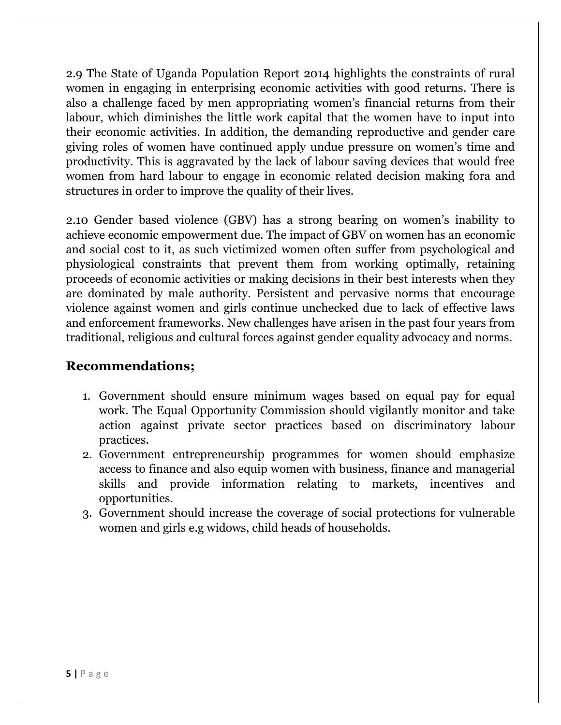2.9 The State of Uganda Population Report 2014 highlights the constraints of rural women in engaging in enterprising economic activities with good returns. There is also a challenge faced by men appropriating women's financial returns from their labour, which diminishes the little work capital that the women have to input into their economic activities. In addition, the demanding reproductive and gender care giving roles of women have continued apply undue pressure on women's time and productivity. This is aggravated by the lack of labour saving devices that would free women from hard labour to engage in economic related decision making fora and structures in order to improve the quality of their lives.

2.10 Gender based violence (GBV) has a strong bearing on women's inability to achieve economic empowerment due. The impact of GBV on women has an economic and social cost to it, as such victimized women often suffer from psychological and physiological constraints that prevent them from working optimally, retaining proceeds of economic activities or making decisions in their best interests when they are dominated by male authority. Persistent and pervasive norms that encourage violence against women and girls continue unchecked due to lack of effective laws and enforcement frameworks. New challenges have arisen in the past four years from traditional, religious and cultural forces against gender equality advocacy and norms.

### **Recommendations;**

- 1. Government should ensure minimum wages based on equal pay for equal work. The Equal Opportunity Commission should vigilantly monitor and take action against private sector practices based on discriminatory labour practices.
- 2. Government entrepreneurship programmes for women should emphasize access to finance and also equip women with business, finance and managerial skills and provide information relating to markets, incentives and opportunities.
- 3. Government should increase the coverage of social protections for vulnerable women and girls e.g widows, child heads of households.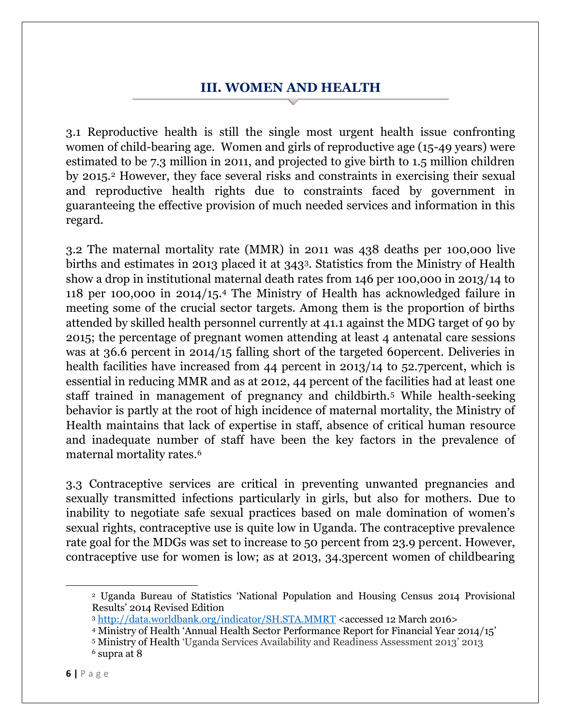### **III. WOMEN AND HEALTH**

3.1 Reproductive health is still the single most urgent health issue confronting women of child-bearing age. Women and girls of reproductive age (15-49 years) were estimated to be 7.3 million in 2011, and projected to give birth to 1.5 million children by 2015.<sup>2</sup> However, they face several risks and constraints in exercising their sexual and reproductive health rights due to constraints faced by government in guaranteeing the effective provision of much needed services and information in this regard.

3.2 The maternal mortality rate (MMR) in 2011 was 438 deaths per 100,000 live births and estimates in 2013 placed it at 3433. Statistics from the Ministry of Health show a drop in institutional maternal death rates from 146 per 100,000 in 2013/14 to 118 per 100,000 in 2014/15.<sup>4</sup> The Ministry of Health has acknowledged failure in meeting some of the crucial sector targets. Among them is the proportion of births attended by skilled health personnel currently at 41.1 against the MDG target of 90 by 2015; the percentage of pregnant women attending at least 4 antenatal care sessions was at 36.6 percent in 2014/15 falling short of the targeted 60percent. Deliveries in health facilities have increased from 44 percent in 2013/14 to 52.7 percent, which is essential in reducing MMR and as at 2012, 44 percent of the facilities had at least one staff trained in management of pregnancy and childbirth.<sup>5</sup> While health-seeking behavior is partly at the root of high incidence of maternal mortality, the Ministry of Health maintains that lack of expertise in staff, absence of critical human resource and inadequate number of staff have been the key factors in the prevalence of maternal mortality rates.<sup>6</sup>

3.3 Contraceptive services are critical in preventing unwanted pregnancies and sexually transmitted infections particularly in girls, but also for mothers. Due to inability to negotiate safe sexual practices based on male domination of women's sexual rights, contraceptive use is quite low in Uganda. The contraceptive prevalence rate goal for the MDGs was set to increase to 50 percent from 23.9 percent. However, contraceptive use for women is low; as at 2013, 34.3percent women of childbearing

l

<sup>2</sup> Uganda Bureau of Statistics 'National Population and Housing Census 2014 Provisional Results' 2014 Revised Edition

<sup>3</sup> <http://data.worldbank.org/indicator/SH.STA.MMRT> <accessed 12 March 2016>

<sup>4</sup> Ministry of Health 'Annual Health Sector Performance Report for Financial Year 2014/15'

<sup>5</sup> Ministry of Health 'Uganda Services Availability and Readiness Assessment 2013' 2013

<sup>6</sup> supra at 8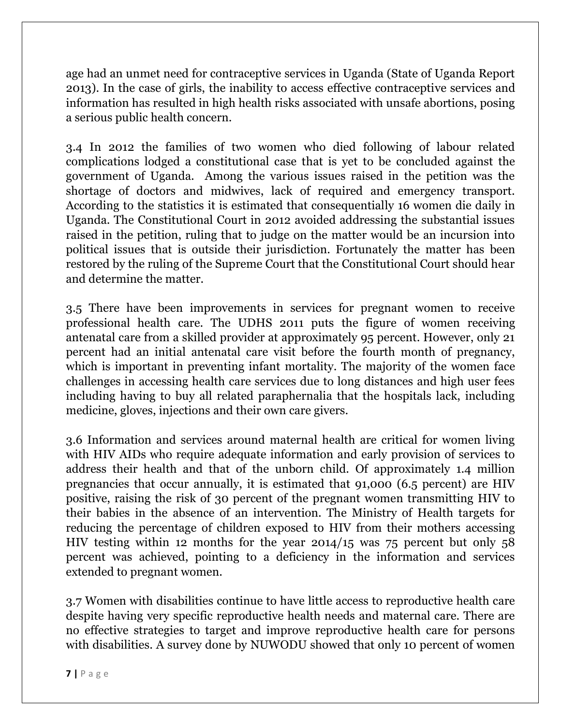age had an unmet need for contraceptive services in Uganda (State of Uganda Report 2013). In the case of girls, the inability to access effective contraceptive services and information has resulted in high health risks associated with unsafe abortions, posing a serious public health concern.

3.4 In 2012 the families of two women who died following of labour related complications lodged a constitutional case that is yet to be concluded against the government of Uganda. Among the various issues raised in the petition was the shortage of doctors and midwives, lack of required and emergency transport. According to the statistics it is estimated that consequentially 16 women die daily in Uganda. The Constitutional Court in 2012 avoided addressing the substantial issues raised in the petition, ruling that to judge on the matter would be an incursion into political issues that is outside their jurisdiction. Fortunately the matter has been restored by the ruling of the Supreme Court that the Constitutional Court should hear and determine the matter.

3.5 There have been improvements in services for pregnant women to receive professional health care. The UDHS 2011 puts the figure of women receiving antenatal care from a skilled provider at approximately 95 percent. However, only 21 percent had an initial antenatal care visit before the fourth month of pregnancy, which is important in preventing infant mortality. The majority of the women face challenges in accessing health care services due to long distances and high user fees including having to buy all related paraphernalia that the hospitals lack, including medicine, gloves, injections and their own care givers.

3.6 Information and services around maternal health are critical for women living with HIV AIDs who require adequate information and early provision of services to address their health and that of the unborn child. Of approximately 1.4 million pregnancies that occur annually, it is estimated that 91,000 (6.5 percent) are HIV positive, raising the risk of 30 percent of the pregnant women transmitting HIV to their babies in the absence of an intervention. The Ministry of Health targets for reducing the percentage of children exposed to HIV from their mothers accessing HIV testing within 12 months for the year 2014/15 was 75 percent but only 58 percent was achieved, pointing to a deficiency in the information and services extended to pregnant women.

3.7 Women with disabilities continue to have little access to reproductive health care despite having very specific reproductive health needs and maternal care. There are no effective strategies to target and improve reproductive health care for persons with disabilities. A survey done by NUWODU showed that only 10 percent of women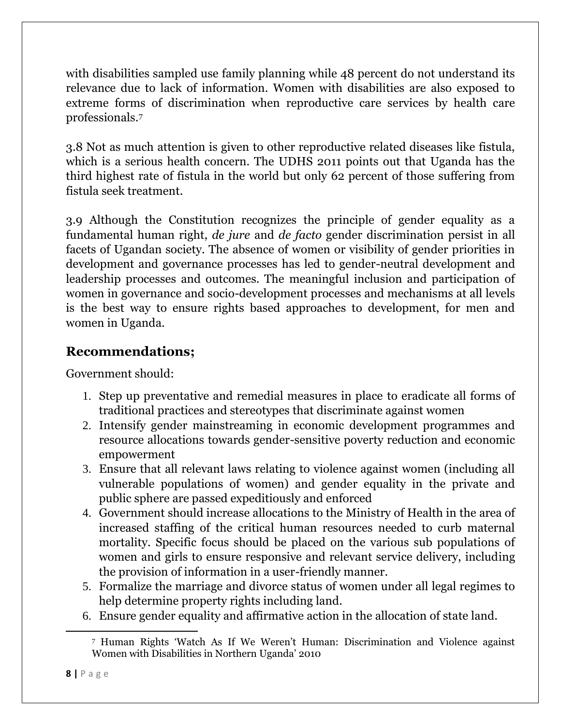with disabilities sampled use family planning while 48 percent do not understand its relevance due to lack of information. Women with disabilities are also exposed to extreme forms of discrimination when reproductive care services by health care professionals.<sup>7</sup>

3.8 Not as much attention is given to other reproductive related diseases like fistula, which is a serious health concern. The UDHS 2011 points out that Uganda has the third highest rate of fistula in the world but only 62 percent of those suffering from fistula seek treatment.

3.9 Although the Constitution recognizes the principle of gender equality as a fundamental human right, *de jure* and *de facto* gender discrimination persist in all facets of Ugandan society. The absence of women or visibility of gender priorities in development and governance processes has led to gender-neutral development and leadership processes and outcomes. The meaningful inclusion and participation of women in governance and socio-development processes and mechanisms at all levels is the best way to ensure rights based approaches to development, for men and women in Uganda.

## **Recommendations;**

Government should:

- 1. Step up preventative and remedial measures in place to eradicate all forms of traditional practices and stereotypes that discriminate against women
- 2. Intensify gender mainstreaming in economic development programmes and resource allocations towards gender-sensitive poverty reduction and economic empowerment
- 3. Ensure that all relevant laws relating to violence against women (including all vulnerable populations of women) and gender equality in the private and public sphere are passed expeditiously and enforced
- 4. Government should increase allocations to the Ministry of Health in the area of increased staffing of the critical human resources needed to curb maternal mortality. Specific focus should be placed on the various sub populations of women and girls to ensure responsive and relevant service delivery, including the provision of information in a user-friendly manner.
- 5. Formalize the marriage and divorce status of women under all legal regimes to help determine property rights including land.
- 6. Ensure gender equality and affirmative action in the allocation of state land.

 $\overline{\phantom{a}}$ 

<sup>7</sup> Human Rights 'Watch As If We Weren't Human: Discrimination and Violence against Women with Disabilities in Northern Uganda' 2010